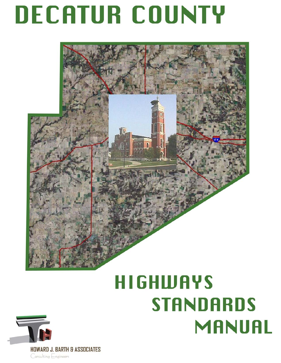# **DECATUR COUNTY**



## **HIGHWAYS STANDARDS** MANUAL

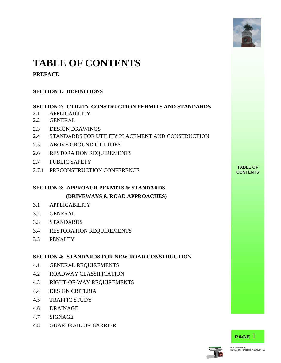

## **TABLE OF CONTENTS**

#### **PREFACE**

#### **SECTION 1: DEFINITIONS**

#### **SECTION 2: UTILITY CONSTRUCTION PERMITS AND STANDARDS**

- 2.1 APPLICABILITY
- 2.2 GENERAL
- 2.3 DESIGN DRAWINGS
- 2.4 STANDARDS FOR UTILITY PLACEMENT AND CONSTRUCTION
- 2.5 ABOVE GROUND UTILITIES
- 2.6 RESTORATION REQUIREMENTS
- 2.7 PUBLIC SAFETY
- **TABLE OF** 2.7.1 PRECONSTRUCTION CONFERENCE **CONTENTS**

#### **SECTION 3: APPROACH PERMITS & STANDARDS (DRIVEWAYS & ROAD APPROACHES)**

- 3.1 APPLICABILITY
- 3.2 GENERAL
- 3.3 STANDARDS
- 3.4 RESTORATION REQUIREMENTS
- 3.5 PENALTY

#### **SECTION 4: STANDARDS FOR NEW ROAD CONSTRUCTION**

- 4.1 GENERAL REQUIREMENTS
- 4.2 ROADWAY CLASSIFICATION
- 4.3 RIGHT-OF-WAY REQUIREMENTS
- 4.4 DESIGN CRITERIA
- 4.5 TRAFFIC STUDY
- 4.6 DRAINAGE
- 4.7 SIGNAGE
- 4.8 GUARDRAIL OR BARRIER



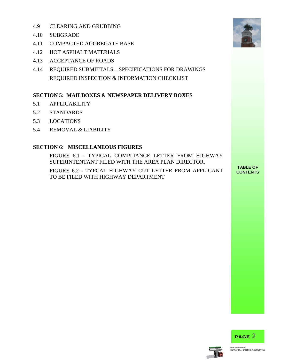- 4.9 CLEARING AND GRUBBING
- 4.10 SUBGRADE
- 4.11 COMPACTED AGGREGATE BASE
- 4.12 HOT ASPHALT MATERIALS
- 4.13 ACCEPTANCE OF ROADS
- 4.14 REQUIRED SUBMITTALS SPECIFICATIONS FOR DRAWINGS REQUIRED INSPECTION & INFORMATION CHECKLIST

#### **SECTION 5: MAILBOXES & NEWSPAPER DELIVERY BOXES**

- 5.1 APPLICABILITY
- 5.2 STANDARDS
- 5.3 LOCATIONS
- 5.4 REMOVAL & LIABILITY

#### **SECTION 6: MISCELLANEOUS FIGURES**

FIGURE 6.1 - TYPICAL COMPLIANCE LETTER FROM HIGHWAY SUPERINTENTANT FILED WITH THE AREA PLAN DIRECTOR.

FIGURE 6.2 - TYPCAL HIGHWAY CUT LETTER FROM APPLICANT TO BE FILED WITH HIGHWAY DEPARTMENT

**TABLE OF**





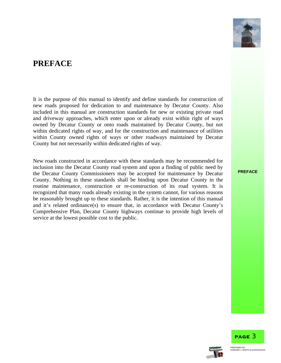

## **PREFACE**

It is the purpose of this manual to identify and define standards for construction of new roads proposed for dedication to and maintenance by Decatur County. Also included in this manual are construction standards for new or existing private road and driveway approaches, which enter upon or already exist within right of ways owned by Decatur County or onto roads maintained by Decatur County, but not within dedicated rights of way, and for the construction and maintenance of utilities within County owned rights of ways or other roadways maintained by Decatur County but not necessarily within dedicated rights of way.

New roads constructed in accordance with these standards may be recommended for inclusion into the Decatur County road system and upon a finding of public need by the Decatur County Commissioners may be accepted for maintenance by Decatur County. Nothing in these standards shall be binding upon Decatur County in the routine maintenance, construction or re-construction of its road system. It is recognized that many roads already existing in the system cannot, for various reasons be reasonably brought up to these standards. Rather, it is the intention of this manual and it's related ordinance(s) to ensure that, in accordance with Decatur County's Comprehensive Plan, Decatur County highways continue to provide high levels of service at the lowest possible cost to the public.

**PREFACE**

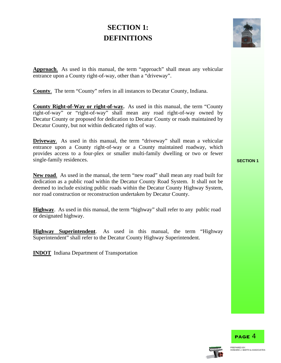## **SECTION 1: DEFINITIONS**



**Approach**. As used in this manual, the term "approach" shall mean any vehicular entrance upon a County right-of-way, other than a "driveway".

**County**. The term "County" refers in all instances to Decatur County, Indiana.

**County Right-of-Way or right-of-way.** As used in this manual, the term "County right-of-way" or "right-of-way" shall mean any road right-of-way owned by Decatur County or proposed for dedication to Decatur County or roads maintained by Decatur County, but not within dedicated rights of way.

**Driveway.** As used in this manual, the term "driveway" shall mean a vehicular entrance upon a County right-of-way or a County maintained roadway, which provides access to a four-plex or smaller multi-family dwelling or two or fewer single-family residences. **SECTION 1** 

**New road**. As used in the manual, the term "new road" shall mean any road built for dedication as a public road within the Decatur County Road System. It shall not be deemed to include existing public roads within the Decatur County Highway System, nor road construction or reconstruction undertaken by Decatur County.

**Highway**. As used in this manual, the term "highway" shall refer to any public road or designated highway.

**Highway Superintendent**. As used in this manual, the term "Highway Superintendent" shall refer to the Decatur County Highway Superintendent.

**INDOT** Indiana Department of Transportation





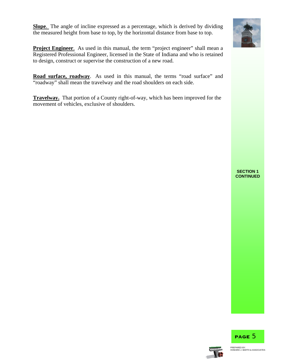**Slope**. The angle of incline expressed as a percentage, which is derived by dividing the measured height from base to top, by the horizontal distance from base to top.



**Project Engineer.** As used in this manual, the term "project engineer" shall mean a Registered Professional Engineer, licensed in the State of Indiana and who is retained to design, construct or supervise the construction of a new road.

**Road surface, roadway**. As used in this manual, the terms "road surface" and "roadway" shall mean the travelway and the road shoulders on each side.

**Travelway.** That portion of a County right-of-way, which has been improved for the movement of vehicles, exclusive of shoulders.

#### **SECTION 1 CONTINUED**



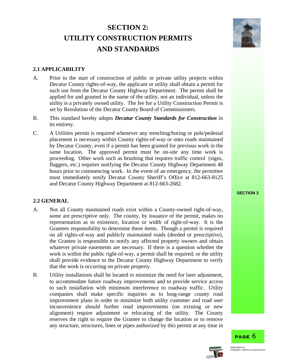## **SECTION 2: UTILITY CONSTRUCTION PERMITS AND STANDARDS**



#### **2.1 APPLICABILITY**

- A. Prior to the start of construction of public or private utility projects within Decatur County rights-of-way, the applicant or utility shall obtain a permit for such use from the Decatur County Highway Department. The permit shall be applied for and granted in the name of the utility, not an individual, unless the utility is a privately owned utility. The fee for a Utility Construction Permit is set by Resolution of the Decatur County Board of Commissioners.
- B. This standard hereby adopts *Decatur County Standards for Construction* in its entirety.
- C. A Utilities permit is required whenever any trenching/boring or pole/pedestal placement is necessary within County rights-of-way or onto roads maintained by Decatur County, even if a permit has been granted for previous work in the same location. The approved permit must be on-site any time work is proceeding. Other work such as brushing that requires traffic control (signs, flaggers, etc.) requires notifying the Decatur County Highway Department 48 hours prior to commencing work. In the event of an emergency, the permittee must immediately notify Decatur County Sheriff's Office at 812-663-8125 and Decatur County Highway Department at 812-663-2682.

#### **2.2 GENERAL**

- A. Not all County maintained roads exist within a County-owned right-of-way, some are prescriptive only. The county, by issuance of the permit, makes no representation as to existence, location or width of right-of-way. It is the Grantees responsibility to determine these items. Though a permit is required on all rights-of-way and publicly maintained roads (deeded or prescriptive), the Grantee is responsible to notify any affected property owners and obtain whatever private easements are necessary. If there is a question whether the work is within the public right-of-way, a permit shall be required, or the utility shall provide evidence to the Decatur County Highway Department to verify that the work is occurring on private property.
- B. Utility installations shall be located to minimize the need for later adjustment, to accommodate future roadway improvements and to provide service access to such installation with minimum interference to roadway traffic. Utility companies shall make specific inquiries as to long-range county road improvement plans in order to minimize both utility customer and road user inconvenience should further road improvements (on existing or new alignment) require adjustment or relocating of the utility. The County reserves the right to require the Grantee to change the location or to remove any structure, structures, lines or pipes authorized by this permit at any time in



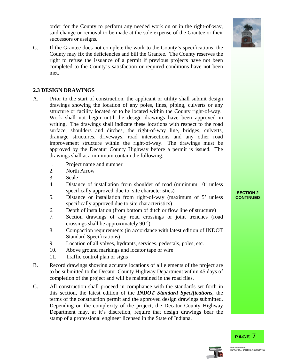order for the County to perform any needed work on or in the right-of-way, said change or removal to be made at the sole expense of the Grantee or their successors or assigns.

C. If the Grantee does not complete the work to the County's specifications, the County may fix the deficiencies and bill the Grantee. The County reserves the right to refuse the issuance of a permit if previous projects have not been completed to the County's satisfaction or required conditions have not been met.

#### **2.3 DESIGN DRAWINGS**

- A. Prior to the start of construction, the applicant or utility shall submit design drawings showing the location of any poles, lines, piping, culverts or any structure or facility located or to be located within the County right-of-way. Work shall not begin until the design drawings have been approved in writing. The drawings shall indicate these locations with respect to the road surface, shoulders and ditches, the right-of-way line, bridges, culverts, drainage structures, driveways, road intersections and any other road improvement structure within the right-of-way. The drawings must be approved by the Decatur County Highway before a permit is issued. The drawings shall at a minimum contain the following:
	- 1. Project name and number
	- 2. North Arrow
	- 3. Scale
	- 4. Distance of installation from shoulder of road (minimum 10' unless specifically approved due to site characteristics) **SECTION 2**
	- 5. Distance or installation from right-of-way (maximum of 5' unless specifically approved due to site characteristics)
	- 6. Depth of installation (from bottom of ditch or flow line of structure)
	- 7. Section drawings of any road crossings or joint trenches (road crossings shall be approximately 90 °)
	- 8. Compaction requirements (in accordance with latest edition of INDOT Standard Specifications)
	- 9. Location of all valves, hydrants, services, pedestals, poles, etc.
	- 10. Above ground markings and locator tape or wire
	- 11. Traffic control plan or signs
- B. Record drawings showing accurate locations of all elements of the project are to be submitted to the Decatur County Highway Department within 45 days of completion of the project and will be maintained in the road files.
- C. All construction shall proceed in compliance with the standards set forth in this section, the latest edition of the *INDOT Standard Specifications*, the terms of the construction permit and the approved design drawings submitted. Depending on the complexity of the project, the Decatur County Highway Department may, at it's discretion, require that design drawings bear the stamp of a professional engineer licensed in the State of Indiana.



## **CONTINUED**



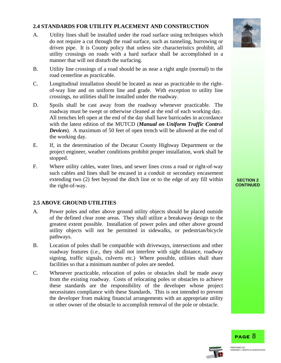#### **2.4 STANDARDS FOR UTILITY PLACEMENT AND CONSTRUCTION**

- A. Utility lines shall be installed under the road surface using techniques which do not require a cut through the road surface, such as tunneling, burrowing or driven pipe. It is County policy that unless site characteristics prohibit, all utility crossings on roads with a hard surface shall be accomplished in a manner that will not disturb the surfacing.
- B. Utility line crossings of a road should be as near a right angle (normal) to the road centerline as practicable.
- C. Longitudinal installation should be located as near as practicable to the rightof-way line and on uniform line and grade. With exception to utility line crossings, no utilities shall be installed under the roadway.
- D. Spoils shall be cast away from the roadway whenever practicable. The roadway must be swept or otherwise cleaned at the end of each working day. All trenches left open at the end of the day shall have barricades in accordance with the latest edition of the MUTCD (*Manual on Uniform Traffic Control Devices*). A maximum of 50 feet of open trench will be allowed at the end of the working day.
- E. If, in the determination of the Decatur County Highway Department or the project engineer, weather conditions prohibit proper installation, work shall be stopped.
- F. Where utility cables, water lines, and sewer lines cross a road or right-of-way such cables and lines shall be encased in a conduit or secondary encasement extending two (2) feet beyond the ditch line or to the edge of any fill within the right-of-way.

#### **2.5 ABOVE GROUND UTILITIES**

- A. Power poles and other above ground utility objects should be placed outside of the defined clear zone areas. They shall utilize a breakaway design to the greatest extent possible. Installation of power poles and other above ground utility objects will not be permitted in sidewalks, or pedestrian/bicycle pathways.
- B. Location of poles shall be compatible with driveways, intersections and other roadway features (i.e., they shall not interfere with sight distance, roadway signing, traffic signals, culverts etc.) Where possible, utilities shall share facilities so that a minimum number of poles are needed.
- C. Whenever practicable, relocation of poles or obstacles shall be made away from the existing roadway. Costs of relocating poles or obstacles to achieve these standards are the responsibility of the developer whose project necessitates compliance with these Standards. This is not intended to prevent the developer from making financial arrangements with an appropriate utility or other owner of the obstacle to accomplish removal of the pole or obstacle.



#### **SECTION 2 CONTINUED**

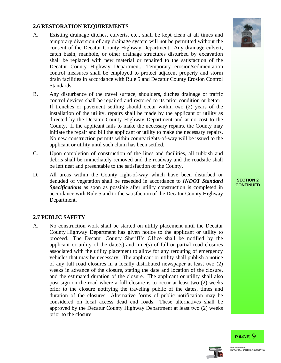#### **2.6 RESTORATION REQUIREMENTS**

- A. Existing drainage ditches, culverts, etc., shall be kept clean at all times and temporary diversion of any drainage system will not be permitted without the consent of the Decatur County Highway Department. Any drainage culvert, catch basin, manhole, or other drainage structures disturbed by excavation shall be replaced with new material or repaired to the satisfaction of the Decatur County Highway Department. Temporary erosion/sedimentation control measures shall be employed to protect adjacent property and storm drain facilities in accordance with Rule 5 and Decatur County Erosion Control Standards.
- B. Any disturbance of the travel surface, shoulders, ditches drainage or traffic control devices shall be repaired and restored to its prior condition or better. If trenches or pavement settling should occur within two (2) years of the installation of the utility, repairs shall be made by the applicant or utility as directed by the Decatur County Highway Department and at no cost to the County. If the applicant fails to make the necessary repairs, the County may initiate the repair and bill the applicant or utility to make the necessary repairs. No new construction permits within county rights-of-way will be issued to the applicant or utility until such claim has been settled.
- C. Upon completion of construction of the lines and facilities, all rubbish and debris shall be immediately removed and the roadway and the roadside shall be left neat and presentable to the satisfaction of the County.
- D. All areas within the County right-of-way which have been disturbed or denuded of vegetation shall be reseeded in accordance to *INDOT Standard Specifications* as soon as possible after utility construction is completed in accordance with Rule 5 and to the satisfaction of the Decatur County Highway Department.

#### **2.7 PUBLIC SAFETY**

A. No construction work shall be started on utility placement until the Decatur County Highway Department has given notice to the applicant or utility to proceed. The Decatur County Sheriff's Office shall be notified by the applicant or utility of the date(s) and time(s) of full or partial road closures associated with the utility placement to allow for any rerouting of emergency vehicles that may be necessary. The applicant or utility shall publish a notice of any full road closures in a locally distributed newspaper at least two (2) weeks in advance of the closure, stating the date and location of the closure, and the estimated duration of the closure. The applicant or utility shall also post sign on the road where a full closure is to occur at least two (2) weeks prior to the closure notifying the traveling public of the dates, times and duration of the closures. Alternative forms of public notification may be considered on local access dead end roads. These alternatives shall be approved by the Decatur County Highway Department at least two (2) weeks prior to the closure.



#### **SECTION 2 CONTINUED**

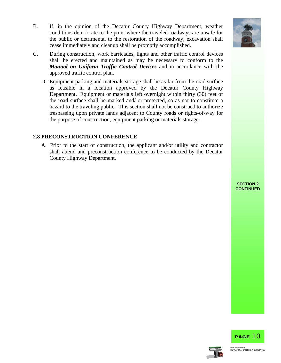B. If, in the opinion of the Decatur County Highway Department, weather conditions deteriorate to the point where the traveled roadways are unsafe for the public or detrimental to the restoration of the roadway, excavation shall cease immediately and cleanup shall be promptly accomplished.



D. Equipment parking and materials storage shall be as far from the road surface as feasible in a location approved by the Decatur County Highway Department. Equipment or materials left overnight within thirty (30) feet of the road surface shall be marked and/ or protected, so as not to constitute a hazard to the traveling public. This section shall not be construed to authorize trespassing upon private lands adjacent to County roads or rights-of-way for the purpose of construction, equipment parking or materials storage.

#### **2.8 PRECONSTRUCTION CONFERENCE**

A. Prior to the start of construction, the applicant and/or utility and contractor shall attend and preconstruction conference to be conducted by the Decatur County Highway Department.







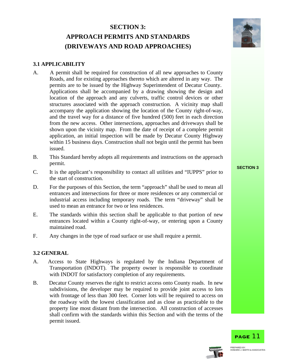## **SECTION 3: APPROACH PERMITS AND STANDARDS (DRIVEWAYS AND ROAD APPROACHES)**



#### **3.1 APPLICABILITY**

- A. A permit shall be required for construction of all new approaches to County Roads, and for existing approaches thereto which are altered in any way. The permits are to be issued by the Highway Superintendent of Decatur County. Applications shall be accompanied by a drawing showing the design and location of the approach and any culverts, traffic control devices or other structures associated with the approach construction. A vicinity map shall accompany the application showing the location of the County right-of-way, and the travel way for a distance of five hundred (500) feet in each direction from the new access. Other intersections, approaches and driveways shall be shown upon the vicinity map. From the date of receipt of a complete permit application, an initial inspection will be made by Decatur County Highway within 15 business days. Construction shall not begin until the permit has been issued.
- B. This Standard hereby adopts all requirements and instructions on the approach **SECTION 3**<br>**SECTION 3**
- C. It is the applicant's responsibility to contact all utilities and "IUPPS" prior to the start of construction.
- D. For the purposes of this Section, the term "approach" shall be used to mean all entrances and intersections for three or more residences or any commercial or industrial access including temporary roads. The term "driveway" shall be used to mean an entrance for two or less residences.
- E. The standards within this section shall be applicable to that portion of new entrances located within a County right-of-way, or entering upon a County maintained road.
- F. Any changes in the type of road surface or use shall require a permit.

#### **3.2 GENERAL**

- A. Access to State Highways is regulated by the Indiana Department of Transportation (INDOT). The property owner is responsible to coordinate with INDOT for satisfactory completion of any requirements.
- B. Decatur County reserves the right to restrict access onto County roads. In new subdivisions, the developer may be required to provide joint access to lots with frontage of less than 300 feet. Corner lots will be required to access on the roadway with the lowest classification and as close as practicable to the property line most distant from the intersection. All construction of accesses shall confirm with the standards within this Section and with the terms of the permit issued.



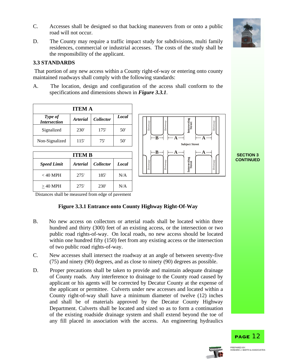

- C. Accesses shall be designed so that backing maneuvers from or onto a public road will not occur.
- D. The County may require a traffic impact study for subdivisions, multi family residences, commercial or industrial accesses. The costs of the study shall be the responsibility of the applicant.

#### **3.3 STANDARDS**

 That portion of any new access within a County right-of-way or entering onto county maintained roadways shall comply with the following standards:

A. The location, design and configuration of the access shall conform to the specifications and dimensions shown in *Figure 3.3.1*.

| <b>ITEM A</b>                  |                 |                  |              |  |  |
|--------------------------------|-----------------|------------------|--------------|--|--|
| Type of<br><b>Intersection</b> | <b>Arterial</b> | <b>Collector</b> | <b>Local</b> |  |  |
| Signalized                     | <b>230</b>      | 175'             | 50'          |  |  |
| Non-Signalized                 | 115'            | 75'              | 50'          |  |  |

| <b>Speed Limit</b> | <b>Arterial</b> | <i>Collector</i> | Local | way<br>≔ |
|--------------------|-----------------|------------------|-------|----------|
| $<$ 40 MPH         | 275'            | 185'             | N/A   |          |
| $>40$ MPH          | 275'            | <b>230</b>       | N/A   |          |



**SECTION 3 CONTINUED**

Distances shall be measured from edge of pavement

#### **Figure 3.3.1 Entrance onto County Highway Right-Of-Way**

- B. No new access on collectors or arterial roads shall be located within three hundred and thirty (300) feet of an existing access, or the intersection or two public road rights-of-way. On local roads, no new access should be located within one hundred fifty (150) feet from any existing access or the intersection of two public road rights-of-way.
- C. New accesses shall intersect the roadway at an angle of between seventy-five (75) and ninety (90) degrees, and as close to ninety (90) degrees as possible.
- D. Proper precautions shall be taken to provide and maintain adequate drainage of County roads. Any interference to drainage to the County road caused by applicant or his agents will be corrected by Decatur County at the expense of the applicant or permittee. Culverts under new accesses and located within a County right-of-way shall have a minimum diameter of twelve (12) inches and shall be of materials approved by the Decatur County Highway Department. Culverts shall be located and sized so as to form a continuation of the existing roadside drainage system and shall extend beyond the toe of any fill placed in association with the access. An engineering hydraulics



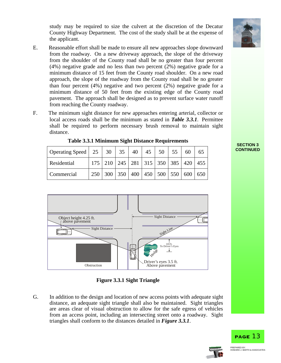study may be required to size the culvert at the discretion of the Decatur County Highway Department. The cost of the study shall be at the expense of the applicant.

- E. Reasonable effort shall be made to ensure all new approaches slope downward from the roadway. On a new driveway approach, the slope of the driveway from the shoulder of the County road shall be no greater than four percent (4%) negative grade and no less than two percent (2%) negative grade for a minimum distance of 15 feet from the County road shoulder. On a new road approach, the slope of the roadway from the County road shall be no greater than four percent (4%) negative and two percent (2%) negative grade for a minimum distance of 50 feet from the existing edge of the County road pavement. The approach shall be designed as to prevent surface water runoff from reaching the County roadway.
- F. The minimum sight distance for new approaches entering arterial, collector or local access roads shall be the minimum as stated in *Table 3.3.1*. Permittee shall be required to perform necessary brush removal to maintain sight distance.

| Operating Speed $\begin{array}{ c c c c c c } \hline 25 & 30 & 35 \\ \hline \end{array}$ |     |  |                                                                                                 |  | 40   45   50   55   60 |  |
|------------------------------------------------------------------------------------------|-----|--|-------------------------------------------------------------------------------------------------|--|------------------------|--|
| Residential                                                                              |     |  | 175   210   245   281   315   350   385   420   455                                             |  |                        |  |
| Commercial                                                                               | 250 |  | $\vert$ 300 $\vert$ 350 $\vert$ 400 $\vert$ 450 $\vert$ 500 $\vert$ 550 $\vert$ 600 $\vert$ 650 |  |                        |  |

**Table 3.3.1 Minimum Sight Distance Requirements SECTION 3** 





G. In addition to the design and location of new access points with adequate sight distance, an adequate sight triangle shall also be maintained. Sight triangles are areas clear of visual obstruction to allow for the safe egress of vehicles from an access point, including an intersecting street onto a roadway. Sight triangles shall conform to the distances detailed in *Figure 3.3.1*.







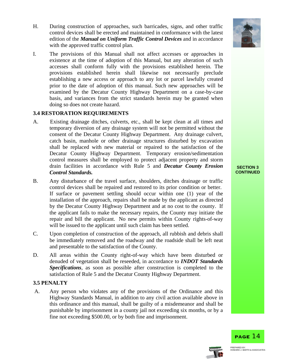

- H. During construction of approaches, such barricades, signs, and other traffic control devices shall be erected and maintained in conformance with the latest edition of the *Manual on Uniform Traffic Control Devices* and in accordance with the approved traffic control plan.
- I. The provisions of this Manual shall not affect accesses or approaches in existence at the time of adoption of this Manual, but any alteration of such accesses shall conform fully with the provisions established herein. The provisions established herein shall likewise not necessarily preclude establishing a new access or approach to any lot or parcel lawfully created prior to the date of adoption of this manual. Such new approaches will be examined by the Decatur County Highway Department on a case-by-case basis, and variances from the strict standards herein may be granted when doing so does not create hazard.

#### **3.4 RESTORATION REQUIREMENTS**

- A. Existing drainage ditches, culverts, etc., shall be kept clean at all times and temporary diversion of any drainage system will not be permitted without the consent of the Decatur County Highway Department. Any drainage culvert, catch basin, manhole or other drainage structures disturbed by excavation shall be replaced with new material or repaired to the satisfaction of the Decatur County Highway Department. Temporary erosion/sedimentation control measures shall be employed to protect adjacent property and storm drain facilities in accordance with Rule 5 and *Decatur County Erosion Control Standards.*
- B. Any disturbance of the travel surface, shoulders, ditches drainage or traffic control devices shall be repaired and restored to its prior condition or better. If surface or pavement settling should occur within one (1) year of the installation of the approach, repairs shall be made by the applicant as directed by the Decatur County Highway Department and at no cost to the county. If the applicant fails to make the necessary repairs, the County may initiate the repair and bill the applicant. No new permits within County rights-of-way will be issued to the applicant until such claim has been settled.
- C. Upon completion of construction of the approach, all rubbish and debris shall be immediately removed and the roadway and the roadside shall be left neat and presentable to the satisfaction of the County.
- D. All areas within the County right-of-way which have been disturbed or denuded of vegetation shall be reseeded, in accordance to *INDOT Standards Specifications*, as soon as possible after construction is completed to the satisfaction of Rule 5 and the Decatur County Highway Department.

#### **3.5 PENALTY**

 A. Any person who violates any of the provisions of the Ordinance and this Highway Standards Manual, in addition to any civil action available above in this ordinance and this manual, shall be guilty of a misdemeanor and shall be punishable by imprisonment in a county jail not exceeding six months, or by a fine not exceeding \$500.00, or by both fine and imprisonment.

#### **SECTION 3 CONTINUED**



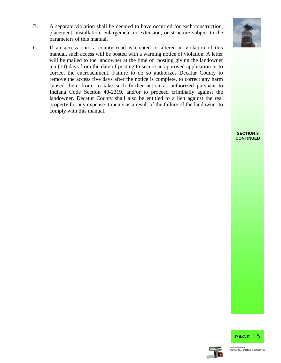B. A separate violation shall be deemed to have occurred for each construction, placement, installation, enlargement or extension, or structure subject to the parameters of this manual.





**SECTION 3 CONTINUED**



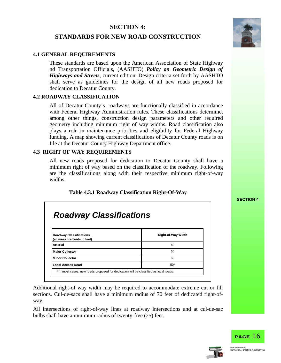#### **SECTION 4:**

#### **STANDARDS FOR NEW ROAD CONSTRUCTION**



#### **4.1 GENERAL REQUIREMENTS**

These standards are based upon the American Association of State Highway nd Transportation Officials, (AASHTO) *Policy on Geometric Design of Highways and Streets*, current edition. Design criteria set forth by AASHTO shall serve as guidelines for the design of all new roads proposed for dedication to Decatur County.

#### **4.2 ROADWAY CLASSIFICATION**

All of Decatur County's roadways are functionally classified in accordance with Federal Highway Administration rules. These classifications determine, among other things, construction design parameters and other required geometry including minimum right of way widths. Road classification also plays a role in maintenance priorities and eligibility for Federal Highway funding. A map showing current classifications of Decatur County roads is on file at the Decatur County Highway Department office.

#### **4.3 RIGHT OF WAY REQUIREMENTS**

All new roads proposed for dedication to Decatur County shall have a minimum right of way based on the classification of the roadway. Following are the classifications along with their respective minimum right-of-way widths.

#### **Table 4.3.1 Roadway Classification Right-Of-Way**

**SECTION 4**

## *Roadway Classifications*

| Roadway Classifications<br>(all measurements in feet)                                 | <b>Right-of-Way Width</b> |
|---------------------------------------------------------------------------------------|---------------------------|
| <b>Arterial</b>                                                                       | 80                        |
| <b>Major Collector</b>                                                                | 60                        |
| <b>IMinor Collector</b>                                                               | 60                        |
| Local Access Road                                                                     | $50*$                     |
| * In most cases, new roads proposed for dedication will be classified as local roads. |                           |

Additional right-of way width may be required to accommodate extreme cut or fill sections. Cul-de-sacs shall have a minimum radius of 70 feet of dedicated right-ofway.

All intersections of right-of-way lines at roadway intersections and at cul-de-sac bulbs shall have a minimum radius of twenty-five (25) feet.



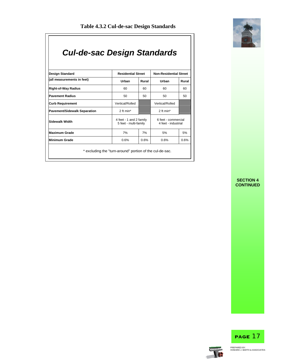

## *Cul-de-sac Design Standards*

| Design Standard              |                                                  | <b>Residential Street</b> |                                            | <b>Non-Residential Street</b> |  |  |
|------------------------------|--------------------------------------------------|---------------------------|--------------------------------------------|-------------------------------|--|--|
| (all measurements in feet)   | Urban                                            | Rural                     | Urban                                      | Rural                         |  |  |
| <b>Right-of-Way Radius</b>   | 60                                               | 60                        | 60                                         | 60                            |  |  |
| <b>Pavement Radius</b>       | 50                                               | 50<br>50                  |                                            | 50                            |  |  |
| <b>Curb Requirement</b>      | Vertical/Rolled                                  |                           | Vertical/Rolled                            |                               |  |  |
| Pavement/Sidewalk Separation | 2 ft min*                                        |                           | 2 ft min*                                  |                               |  |  |
| Sidewalk Width               | 4 feet - 1 and 2 family<br>5 feet - multi-family |                           | 6 feet - commercial<br>4 feet - industrial |                               |  |  |
| <b>Maximum Grade</b>         | 7%                                               | 7%                        | 5%                                         | 5%                            |  |  |
| Minimum Grade                | 0.6%                                             | 0.6%                      | 0.6%                                       | 0.6%                          |  |  |

**SECTION 4 CONTINUED**



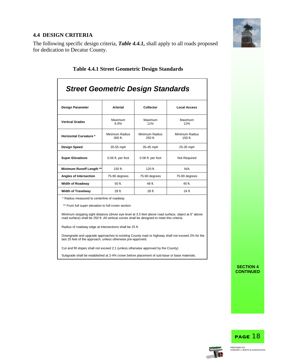

#### **4.4 DESIGN CRITERIA**

The following specific design criteria, *Table 4.4.1,* shall apply to all roads proposed for dedication to Decatur County.

| <b>Street Geometric Design Standards</b>   |                             |                             |                             |  |  |  |
|--------------------------------------------|-----------------------------|-----------------------------|-----------------------------|--|--|--|
| <b>Design Parameter</b>                    | <b>Arterial</b>             | Collector                   | <b>Local Access</b>         |  |  |  |
| <b>Vertical Grades</b>                     | Maximum<br>6.0%             | Maximum<br>11%              | Maximum<br>12%              |  |  |  |
| <b>Horizontal Curvature *</b>              | Minimum Radius<br>$300$ ft. | Minimum Radius<br>$250$ ft. | Minimum Radius<br>$150$ ft. |  |  |  |
| Design Speed<br>35-55 mph                  |                             | 35-45 mph                   | 25-35 mph                   |  |  |  |
| <b>Super Elevations</b>                    | 0.06 ft. per foot           | 0.06 ft. per foot           | Not Required                |  |  |  |
| <b>Minimum Runoff Length **</b>            | $150$ ft.                   | $120$ ft.                   | N/A                         |  |  |  |
| Angles of Intersection<br>75-90 degrees    |                             | 75-90 degrees               | 75-90 degrees               |  |  |  |
| <b>Width of Roadway</b>                    | 50 ft.                      | 48 ft.                      | 40 ft.                      |  |  |  |
| <b>Width of Travelway</b>                  | 28 ft.                      | 28 ft                       | 24 ft                       |  |  |  |
| * Radius measured to centerline of roadway |                             |                             |                             |  |  |  |

#### **Table 4.4.1 Street Geometric Design Standards**

sured to centerline of roadway

\*\* From full super elevation to full crown section

Minimum stopping sight distance (driver eye level at 3.5 feet above road surface, object at 6" above road surface) shall be 250 ft. All vertical curves shall be designed to meet this criteria.

Radius of roadway edge at intersections shall be 25 ft.

Downgrade and upgrade approaches to existing County road or highway shall not exceed 2% for the last 25 feet of the approach, unless otherwise pre-approved.

Cut and fill slopes shall not exceed 2:1 (unless otherwise approved by the County)

Subgrade shall be established at 2-4% crown before placement of sub-base or base materials.

**SECTION 4 CONTINUED**



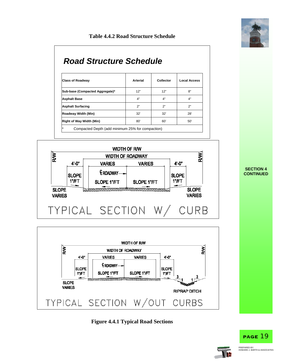

#### **Table 4.4.2 Road Structure Schedule**

## *Road Structure Schedule*

| <b>Class of Roadway</b>         | Arterial | Collector | <b>Local Access</b> |  |
|---------------------------------|----------|-----------|---------------------|--|
| Sub-base (Compacted Aggregate)* | 12"      | 12"       | 8"                  |  |
| <b>Asphalt Base</b>             | 4"       | 4"        | 4"                  |  |
| <b>Asphalt Surfacing</b>        | 2"       | 2"        | 2"                  |  |
| Roadway Width (Min)             | 32'      | 32'       | 28'                 |  |
| Right of Way Width (Min)        | 80'      | 60'       | 50'                 |  |







#### **SECTION 4 CONTINUED**



PAGE 19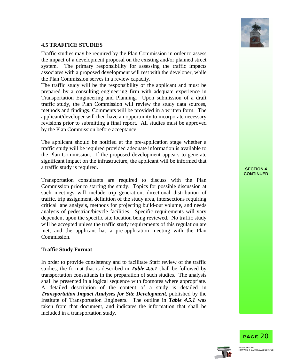

#### **4.5 TRAFFICE STUDIES**

Traffic studies may be required by the Plan Commission in order to assess the impact of a development proposal on the existing and/or planned street system. The primary responsibility for assessing the traffic impacts associates with a proposed development will rest with the developer, while the Plan Commission serves in a review capacity.

The traffic study will be the responsibility of the applicant and must be prepared by a consulting engineering firm with adequate experience in Transportation Engineering and Planning. Upon submission of a draft traffic study, the Plan Commission will review the study data sources, methods and findings. Comments will be provided in a written form. The applicant/developer will then have an opportunity to incorporate necessary revisions prior to submitting a final report. All studies must be approved by the Plan Commission before acceptance.

The applicant should be notified at the pre-application stage whether a traffic study will be required provided adequate information is available to the Plan Commission. If the proposed development appears to generate significant impact on the infrastructure, the applicant will be informed that a traffic study is required. **SECTION 4** 

Transportation consultants are required to discuss with the Plan Commission prior to starting the study. Topics for possible discussion at such meetings will include trip generation, directional distribution of traffic, trip assignment, definition of the study area, intersections requiring critical lane analysis, methods for projecting build-out volume, and needs analysis of pedestrian/bicycle facilities. Specific requirements will vary dependent upon the specific site location being reviewed. No traffic study will be accepted unless the traffic study requirements of this regulation are met, and the applicant has a pre-application meeting with the Plan Commission.

#### **Traffic Study Format**

In order to provide consistency and to facilitate Staff review of the traffic studies, the format that is described in *Table 4.5.1* shall be followed by transportation consultants in the preparation of such studies. The analysis shall be presented in a logical sequence with footnotes where appropriate. A detailed description of the content of a study is detailed in *Transportation Impact Analyses for Site Development*, published by the Institute of Transportation Engineers. The outline in *Table 4.5.1* was taken from that document, and indicates the information that shall be included in a transportation study.





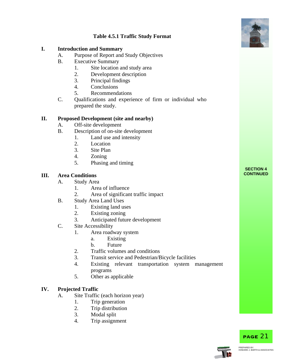

#### **Table 4.5.1 Traffic Study Format**

#### **I. Introduction and Summary**

- A. Purpose of Report and Study Objectives
- B. Executive Summary
	- 1. Site location and study area
	- 2. Development description
	- 3. Principal findings
	- 4. Conclusions
	- 5. Recommendations
- C. Qualifications and experience of firm or individual who prepared the study.

#### **II. Proposed Development (site and nearby)**

- A. Off-site development
- B. Description of on-site development
	- 1. Land use and intensity
	- 2. Location
	- 3. Site Plan
	- 4. Zoning
	- 5. Phasing and timing

#### **III.** Area Conditions

- A. Study Area
	- 1. Area of influence
	- 2. Area of significant traffic impact
- B. Study Area Land Uses
	- 1. Existing land uses
	- 2. Existing zoning
	- 3. Anticipated future development
- C. Site Accessibility
	- 1. Area roadway system
		- a. Existing
		- b. Future
	- 2. Traffic volumes and conditions
	- 3. Transit service and Pedestrian/Bicycle facilities
	- 4. Existing relevant transportation system management programs
	- 5. Other as applicable

#### **IV. Projected Traffic**

- A. Site Traffic (each horizon year)
	- 1. Trip generation
	- 2. Trip distribution
	- 3. Modal split
	- 4. Trip assignment



PAGE 21

## **SECTION 4<br>CONTINUED**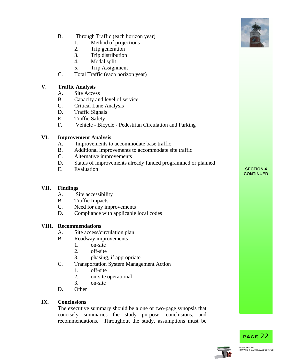- B. Through Traffic (each horizon year)
	- 1. Method of projections
	- 2. Trip generation
	- 3. Trip distribution
	- 4. Modal split
	- 5. Trip Assignment
- C. Total Traffic (each horizon year)

#### **V. Traffic Analysis**

- A. Site Access
- B. Capacity and level of service
- C. Critical Lane Analysis
- D. Traffic Signals
- E. Traffic Safety
- F. Vehicle Bicycle Pedestrian Circulation and Parking

#### **VI. Improvement Analysis**

- A. Improvements to accommodate base traffic
- B. Additional improvements to accommodate site traffic
- C. Alternative improvements
- D. Status of improvements already funded programmed or planned
- E. Evaluation **SECTION 4**

#### **VII. Findings**

- A. Site accessibility
- B. Traffic Impacts
- C. Need for any improvements
- D. Compliance with applicable local codes

#### **VIII. Recommendations**

- A. Site access/circulation plan
- B. Roadway improvements
	- 1. on-site
	- 2. off-site
	- 3. phasing, if appropriate
- C. Transportation System Management Action
	- 1. off-site
	- 2. on-site operational
	- 3. on-site
- D. Other

#### **IX. Conclusions**

The executive summary should be a one or two-page synopsis that concisely summaries the study purpose, conclusions, and recommendations. Throughout the study, assumptions must be



PAGE 22



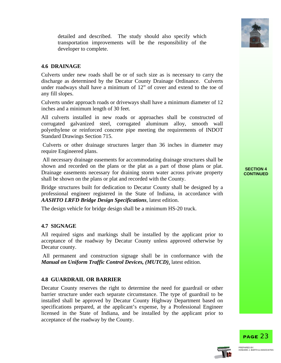

detailed and described. The study should also specify which transportation improvements will be the responsibility of the developer to complete.

#### **4.6 DRAINAGE**

Culverts under new roads shall be or of such size as is necessary to carry the discharge as determined by the Decatur County Drainage Ordinance. Culverts under roadways shall have a minimum of 12" of cover and extend to the toe of any fill slopes.

Culverts under approach roads or driveways shall have a minimum diameter of 12 inches and a minimum length of 30 feet.

All culverts installed in new roads or approaches shall be constructed of corrugated galvanized steel, corrugated aluminum alloy, smooth wall polyethylene or reinforced concrete pipe meeting the requirements of INDOT Standard Drawings Section 715.

 Culverts or other drainage structures larger than 36 inches in diameter may require Engineered plans.

 All necessary drainage easements for accommodating drainage structures shall be shown and recorded on the plans or the plat as a part of those plans or plat. Drainage easements necessary for draining storm water across private property shall be shown on the plans or plat and recorded with the County.

Bridge structures built for dedication to Decatur County shall be designed by a professional engineer registered in the State of Indiana, in accordance with *AASHTO LRFD Bridge Design Specifications*, latest edition.

The design vehicle for bridge design shall be a minimum HS-20 truck.

#### **4.7 SIGNAGE**

All required signs and markings shall be installed by the applicant prior to acceptance of the roadway by Decatur County unless approved otherwise by Decatur county.

 All permanent and construction signage shall be in conformance with the *Manual on Uniform Traffic Control Devices, (MUTCD)*, latest edition.

#### **4.8 GUARDRAIL OR BARRIER**

Decatur County reserves the right to determine the need for guardrail or other barrier structure under each separate circumstance. The type of guardrail to be installed shall be approved by Decatur County Highway Department based on specifications prepared, at the applicant's expense, by a Professional Engineer licensed in the State of Indiana, and be installed by the applicant prior to acceptance of the roadway by the County.

#### **SECTION 4 CONTINUED**



PAGE 23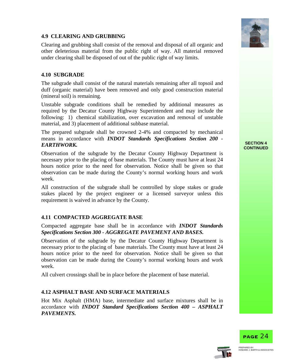

#### **4.9 CLEARING AND GRUBBING**

Clearing and grubbing shall consist of the removal and disposal of all organic and other deleterious material from the public right of way. All material removed under clearing shall be disposed of out of the public right of way limits.

#### **4.10 SUBGRADE**

The subgrade shall consist of the natural materials remaining after all topsoil and duff (organic material) have been removed and only good construction material (mineral soil) is remaining.

Unstable subgrade conditions shall be remedied by additional measures as required by the Decatur County Highway Superintendent and may include the following: 1) chemical stabilization, over excavation and removal of unstable material, and 3) placement of additional subbase material.

The prepared subgrade shall be crowned 2-4% and compacted by mechanical means in accordance with *INDOT Standards Specifications Section 200 -*  **EARTHWORK.** SECTION 4

Observation of the subgrade by the Decatur County Highway Department is necessary prior to the placing of base materials. The County must have at least 24 hours notice prior to the need for observation. Notice shall be given so that observation can be made during the County's normal working hours and work week.

All construction of the subgrade shall be controlled by slope stakes or grade stakes placed by the project engineer or a licensed surveyor unless this requirement is waived in advance by the County.

#### **4.11 COMPACTED AGGREGATE BASE**

Compacted aggregate base shall be in accordance with *INDOT Standards Specifications Section 300 - AGGREGATE PAVEMENT AND BASES.* 

Observation of the subgrade by the Decatur County Highway Department is necessary prior to the placing of base materials. The County must have at least 24 hours notice prior to the need for observation. Notice shall be given so that observation can be made during the County's normal working hours and work week.

All culvert crossings shall be in place before the placement of base material.

#### **4.12 ASPHALT BASE AND SURFACE MATERIALS**

Hot Mix Asphalt (HMA) base, intermediate and surface mixtures shall be in accordance with *INDOT Standard Specifications Section 400 – ASPHALT PAVEMENTS.* 

## **CONTINUED**



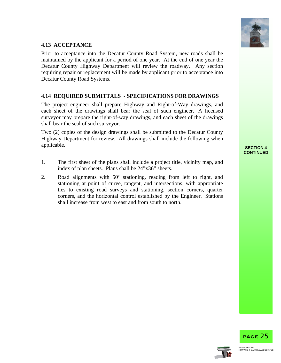

#### **4.13 ACCEPTANCE**

Prior to acceptance into the Decatur County Road System, new roads shall be maintained by the applicant for a period of one year. At the end of one year the Decatur County Highway Department will review the roadway. Any section requiring repair or replacement will be made by applicant prior to acceptance into Decatur County Road Systems.

#### **4.14 REQUIRED SUBMITTALS - SPECIFICATIONS FOR DRAWINGS**

The project engineer shall prepare Highway and Right-of-Way drawings, and each sheet of the drawings shall bear the seal of such engineer. A licensed surveyor may prepare the right-of-way drawings, and each sheet of the drawings shall bear the seal of such surveyor.

Two (2) copies of the design drawings shall be submitted to the Decatur County Highway Department for review. All drawings shall include the following when **SECTION 4 SECTION** 

- 1. The first sheet of the plans shall include a project title, vicinity map, and index of plan sheets. Plans shall be 24"x36" sheets.
- 2. Road alignments with 50' stationing, reading from left to right, and stationing at point of curve, tangent, and intersections, with appropriate ties to existing road surveys and stationing, section corners, quarter corners, and the horizontal control established by the Engineer. Stations shall increase from west to east and from south to north.

**CONTINUED** 



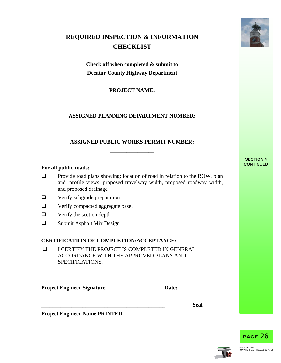### **REQUIRED INSPECTION & INFORMATION CHECKLIST**

**Check off when completed & submit to Decatur County Highway Department**

**PROJECT NAME: \_\_\_\_\_\_\_\_\_\_\_\_\_\_\_\_\_\_\_\_\_\_\_\_\_\_\_\_\_\_\_\_\_\_\_\_\_\_\_\_\_\_\_\_**

#### **ASSIGNED PLANNING DEPARTMENT NUMBER: \_\_\_\_\_\_\_\_\_\_\_\_\_\_\_**

### **ASSIGNED PUBLIC WORKS PERMIT NUMBER: \_\_\_\_\_\_\_\_\_\_\_\_\_\_\_\_**

#### For all public roads:

- $\Box$  Provide road plans showing: location of road in relation to the ROW, plan and profile views, proposed travelway width, proposed roadway width, and proposed drainage
- $\Box$  Verify subgrade preparation
- **Q** Verify compacted aggregate base.
- $\Box$  Verify the section depth
- □ Submit Asphalt Mix Design

#### **CERTIFICATION OF COMPLETION/ACCEPTANCE:**

 I CERTIFY THE PROJECT IS COMPLETED IN GENERAL ACCORDANCE WITH THE APPROVED PLANS AND SPECIFICATIONS.

\_\_\_\_\_\_\_\_\_\_\_\_\_\_\_\_\_\_\_\_\_\_\_\_\_\_\_\_\_\_\_\_\_\_\_\_\_\_\_\_\_\_\_\_\_\_\_\_\_\_\_\_\_\_\_\_\_\_\_

**Project Engineer Signature Date:** Date:

**Project Engineer Name PRINTED**



## **SECTION 4<br>CONTINUED**





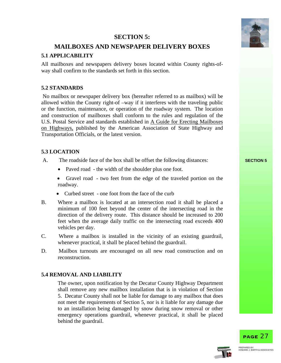#### **SECTION 5:**



#### **MAILBOXES AND NEWSPAPER DELIVERY BOXES**

#### **5.1 APPLICABILITY**

All mailboxes and newspapers delivery boxes located within County rights-ofway shall confirm to the standards set forth in this section.

#### **5.2 STANDARDS**

 No mailbox or newspaper delivery box (hereafter referred to as mailbox) will be allowed within the County right-of –way if it interferes with the traveling public or the function, maintenance, or operation of the roadway system. The location and construction of mailboxes shall conform to the rules and regulation of the U.S. Postal Service and standards established in A Guide for Erecting Mailboxes on Highways, published by the American Association of State Highway and Transportation Officials, or the latest version.

#### **5.3 LOCATION**

- A. The roadside face of the box shall be offset the following distances: **SECTION 5** 
	- Paved road the width of the shoulder plus one foot.
	- Gravel road two feet from the edge of the traveled portion on the roadway.
	- Curbed street one foot from the face of the curb
- B. Where a mailbox is located at an intersection road it shall be placed a minimum of 100 feet beyond the center of the intersecting road in the direction of the delivery route. This distance should be increased to 200 feet when the average daily traffic on the intersecting road exceeds 400 vehicles per day.
- C. Where a mailbox is installed in the vicinity of an existing guardrail, whenever practical, it shall be placed behind the guardrail.
- D. Mailbox turnouts are encouraged on all new road construction and on reconstruction.

#### **5.4 REMOVAL AND LIABILITY**

The owner, upon notification by the Decatur County Highway Department shall remove any new mailbox installation that is in violation of Section 5. Decatur County shall not be liable for damage to any mailbox that does not meet the requirements of Section 5, nor is it liable for any damage due to an installation being damaged by snow during snow removal or other emergency operations guardrail, whenever practical, it shall be placed behind the guardrail.



PAGE 27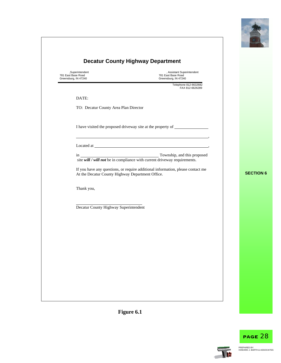

| <b>Decatur County Highway Department</b>                      |                                                                                                                                                                                                                                                                                                                                                                                                                                                                                                        |                  |
|---------------------------------------------------------------|--------------------------------------------------------------------------------------------------------------------------------------------------------------------------------------------------------------------------------------------------------------------------------------------------------------------------------------------------------------------------------------------------------------------------------------------------------------------------------------------------------|------------------|
| ,Superintendent<br>781 East Base Road<br>Greensburg, IN 47240 | , Assistant Superintendent<br>781 East Base Road<br>Greensburg, IN 47240                                                                                                                                                                                                                                                                                                                                                                                                                               |                  |
|                                                               | Telephone 812-6632682<br>FAX 812-6626289                                                                                                                                                                                                                                                                                                                                                                                                                                                               |                  |
| DATE:                                                         |                                                                                                                                                                                                                                                                                                                                                                                                                                                                                                        |                  |
| TO: Decatur County Area Plan Director                         |                                                                                                                                                                                                                                                                                                                                                                                                                                                                                                        |                  |
|                                                               | I have visited the proposed driveway site at the property of ___________________                                                                                                                                                                                                                                                                                                                                                                                                                       |                  |
|                                                               |                                                                                                                                                                                                                                                                                                                                                                                                                                                                                                        |                  |
|                                                               | in $\frac{1}{\text{st} \cdot \text{with } t \leq \text{with } t \leq \text{with } t \leq \text{with } t \leq \text{with } t \leq \text{with } t \leq \text{with } t \leq \text{with } t \leq \text{with } t \leq \text{with } t \leq \text{with } t \leq \text{with } t \leq \text{with } t \leq \text{with } t \leq \text{with } t \leq \text{with } t \leq \text{with } t \leq \text{with } t \leq \text{with } t \leq \text{with } t \leq \text{with } t \leq \text{with } t \leq \text{with } t \$ |                  |
| At the Decatur County Highway Department Office.              | If you have any questions, or require additional information, please contact me                                                                                                                                                                                                                                                                                                                                                                                                                        | <b>SECTION 6</b> |
| Thank you,                                                    |                                                                                                                                                                                                                                                                                                                                                                                                                                                                                                        |                  |
| Decatur County Highway Superintendent                         |                                                                                                                                                                                                                                                                                                                                                                                                                                                                                                        |                  |
|                                                               |                                                                                                                                                                                                                                                                                                                                                                                                                                                                                                        |                  |
|                                                               |                                                                                                                                                                                                                                                                                                                                                                                                                                                                                                        |                  |
|                                                               |                                                                                                                                                                                                                                                                                                                                                                                                                                                                                                        |                  |
|                                                               |                                                                                                                                                                                                                                                                                                                                                                                                                                                                                                        |                  |
|                                                               |                                                                                                                                                                                                                                                                                                                                                                                                                                                                                                        |                  |
|                                                               |                                                                                                                                                                                                                                                                                                                                                                                                                                                                                                        |                  |
|                                                               |                                                                                                                                                                                                                                                                                                                                                                                                                                                                                                        |                  |



**IF**